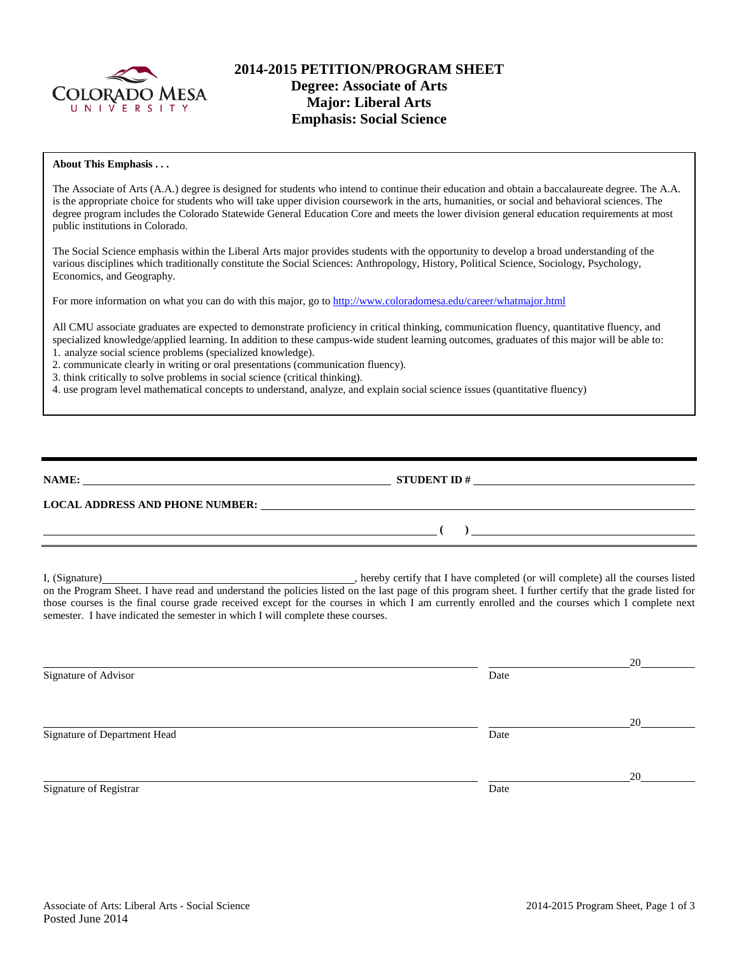

# **2014-2015 PETITION/PROGRAM SHEET Degree: Associate of Arts Major: Liberal Arts Emphasis: Social Science**

#### **About This Emphasis . . .**

The Associate of Arts (A.A.) degree is designed for students who intend to continue their education and obtain a baccalaureate degree. The A.A. is the appropriate choice for students who will take upper division coursework in the arts, humanities, or social and behavioral sciences. The degree program includes the Colorado Statewide General Education Core and meets the lower division general education requirements at most public institutions in Colorado.

The Social Science emphasis within the Liberal Arts major provides students with the opportunity to develop a broad understanding of the various disciplines which traditionally constitute the Social Sciences: Anthropology, History, Political Science, Sociology, Psychology, Economics, and Geography.

For more information on what you can do with this major, go to<http://www.coloradomesa.edu/career/whatmajor.html>

All CMU associate graduates are expected to demonstrate proficiency in critical thinking, communication fluency, quantitative fluency, and specialized knowledge/applied learning. In addition to these campus-wide student learning outcomes, graduates of this major will be able to: 1. analyze social science problems (specialized knowledge).

2. communicate clearly in writing or oral presentations (communication fluency).

3. think critically to solve problems in social science (critical thinking).

4. use program level mathematical concepts to understand, analyze, and explain social science issues (quantitative fluency)

| NAME:                                  | <b>STUDENT ID#</b> |
|----------------------------------------|--------------------|
| <b>LOCAL ADDRESS AND PHONE NUMBER:</b> |                    |
|                                        |                    |

I, (Signature) , hereby certify that I have completed (or will complete) all the courses listed on the Program Sheet. I have read and understand the policies listed on the last page of this program sheet. I further certify that the grade listed for those courses is the final course grade received except for the courses in which I am currently enrolled and the courses which I complete next semester. I have indicated the semester in which I will complete these courses.

|      | 20 |
|------|----|
| Date |    |
|      |    |
|      | 20 |
| Date |    |
|      |    |
|      | 20 |
| Date |    |
|      |    |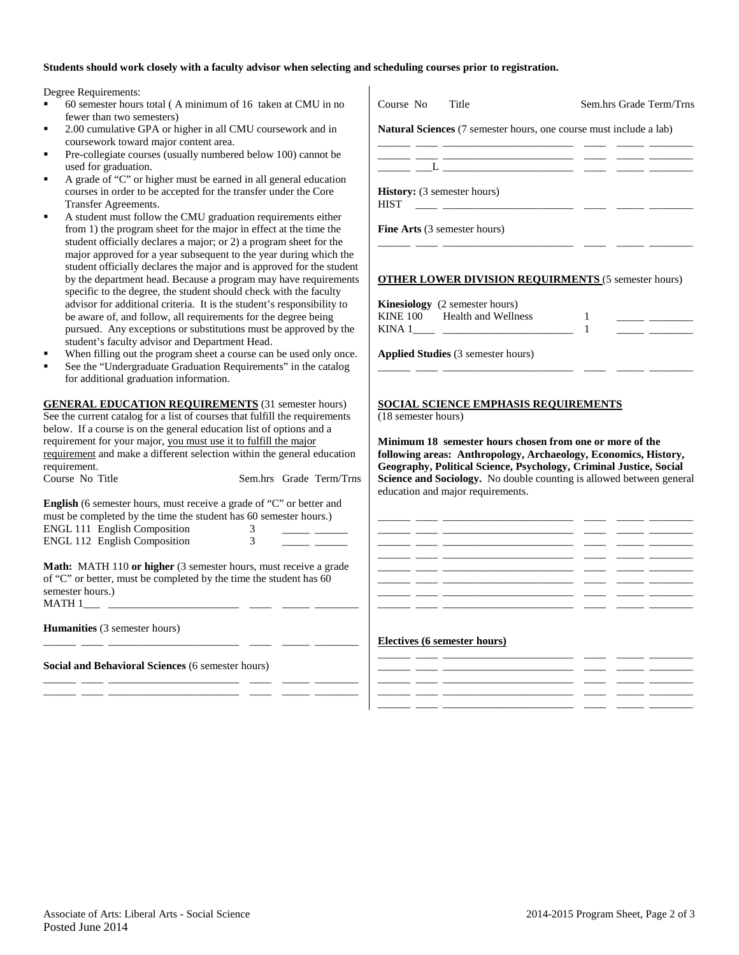### **Students should work closely with a faculty advisor when selecting and scheduling courses prior to registration.**

Degree Requirements:

- 60 semester hours total ( $A$  minimum of 16 taken at  $C$ . fewer than two semesters)
- 2.00 cumulative GPA or higher in all CMU courseworl coursework toward major content area.
- Pre-collegiate courses (usually numbered below 100) can used for graduation.
- A grade of "C" or higher must be earned in all general courses in order to be accepted for the transfer under the Transfer Agreements.
- A student must follow the CMU graduation requirements from  $1$ ) the program sheet for the major in effect at the student officially declares a major; or 2) a program sheet major approved for a year subsequent to the year during student officially declares the major and is approved for by the department head. Because a program may have specific to the degree, the student should check with the advisor for additional criteria. It is the student's respon be aware of, and follow, all requirements for the degree pursued. Any exceptions or substitutions must be appro student's faculty advisor and Department Head.
- When filling out the program sheet a course can be used
- See the "Undergraduate Graduation Requirements" in for additional graduation information.

\_\_\_\_\_\_ \_\_\_\_ \_\_\_\_\_\_\_\_\_\_\_\_\_\_\_\_\_\_\_\_\_\_\_\_ \_\_\_\_ \_\_\_\_\_ \_\_\_\_\_\_\_\_ \_\_\_\_\_\_ \_\_\_\_ \_\_\_\_\_\_\_\_\_\_\_\_\_\_\_\_\_\_\_\_\_\_\_\_ \_\_\_\_ \_\_\_\_\_ \_\_\_\_\_\_\_\_

**Social and Behavioral Sciences** (6 semester hours)

| Degree Requirements:                                                                                                                   |                                                                                                                                                                                                                                                                                                                                                                                                                                                                                                                            |
|----------------------------------------------------------------------------------------------------------------------------------------|----------------------------------------------------------------------------------------------------------------------------------------------------------------------------------------------------------------------------------------------------------------------------------------------------------------------------------------------------------------------------------------------------------------------------------------------------------------------------------------------------------------------------|
| $\blacksquare$<br>60 semester hours total (A minimum of 16 taken at CMU in no                                                          | Course No<br>Title<br>Sem.hrs Grade Term/Trns                                                                                                                                                                                                                                                                                                                                                                                                                                                                              |
| fewer than two semesters)                                                                                                              |                                                                                                                                                                                                                                                                                                                                                                                                                                                                                                                            |
| ×,<br>2.00 cumulative GPA or higher in all CMU coursework and in                                                                       | Natural Sciences (7 semester hours, one course must include a lab)                                                                                                                                                                                                                                                                                                                                                                                                                                                         |
| coursework toward major content area.                                                                                                  |                                                                                                                                                                                                                                                                                                                                                                                                                                                                                                                            |
| Pre-collegiate courses (usually numbered below 100) cannot be<br>٠                                                                     | <u> 1999 - John John Schweizer, mars and der Schweizer (d. 1999)</u>                                                                                                                                                                                                                                                                                                                                                                                                                                                       |
| used for graduation.                                                                                                                   |                                                                                                                                                                                                                                                                                                                                                                                                                                                                                                                            |
| A grade of "C" or higher must be earned in all general education                                                                       |                                                                                                                                                                                                                                                                                                                                                                                                                                                                                                                            |
| courses in order to be accepted for the transfer under the Core                                                                        | History: (3 semester hours)                                                                                                                                                                                                                                                                                                                                                                                                                                                                                                |
| Transfer Agreements.                                                                                                                   |                                                                                                                                                                                                                                                                                                                                                                                                                                                                                                                            |
| A student must follow the CMU graduation requirements either                                                                           |                                                                                                                                                                                                                                                                                                                                                                                                                                                                                                                            |
| from 1) the program sheet for the major in effect at the time the                                                                      | Fine Arts (3 semester hours)                                                                                                                                                                                                                                                                                                                                                                                                                                                                                               |
| student officially declares a major; or 2) a program sheet for the                                                                     | the control of the control of the                                                                                                                                                                                                                                                                                                                                                                                                                                                                                          |
| major approved for a year subsequent to the year during which the                                                                      |                                                                                                                                                                                                                                                                                                                                                                                                                                                                                                                            |
| student officially declares the major and is approved for the student                                                                  |                                                                                                                                                                                                                                                                                                                                                                                                                                                                                                                            |
| by the department head. Because a program may have requirements                                                                        | <b>OTHER LOWER DIVISION REQUIRMENTS (5 semester hours)</b>                                                                                                                                                                                                                                                                                                                                                                                                                                                                 |
| specific to the degree, the student should check with the faculty                                                                      |                                                                                                                                                                                                                                                                                                                                                                                                                                                                                                                            |
| advisor for additional criteria. It is the student's responsibility to                                                                 | <b>Kinesiology</b> (2 semester hours)                                                                                                                                                                                                                                                                                                                                                                                                                                                                                      |
| be aware of, and follow, all requirements for the degree being                                                                         | KINE 100 Health and Wellness<br>1<br>$\begin{array}{ccccccccc} \multicolumn{2}{c}{} & \multicolumn{2}{c}{} & \multicolumn{2}{c}{} & \multicolumn{2}{c}{} & \multicolumn{2}{c}{} & \multicolumn{2}{c}{} & \multicolumn{2}{c}{} & \multicolumn{2}{c}{} & \multicolumn{2}{c}{} & \multicolumn{2}{c}{} & \multicolumn{2}{c}{} & \multicolumn{2}{c}{} & \multicolumn{2}{c}{} & \multicolumn{2}{c}{} & \multicolumn{2}{c}{} & \multicolumn{2}{c}{} & \multicolumn{2}{c}{} & \multicolumn{2}{c}{} & \multicolumn{2}{c}{} & \mult$ |
| pursued. Any exceptions or substitutions must be approved by the                                                                       | $\mathbf{1}$                                                                                                                                                                                                                                                                                                                                                                                                                                                                                                               |
| student's faculty advisor and Department Head.                                                                                         |                                                                                                                                                                                                                                                                                                                                                                                                                                                                                                                            |
| ×,<br>When filling out the program sheet a course can be used only once.                                                               | <b>Applied Studies</b> (3 semester hours)                                                                                                                                                                                                                                                                                                                                                                                                                                                                                  |
| See the "Undergraduate Graduation Requirements" in the catalog<br>٠                                                                    |                                                                                                                                                                                                                                                                                                                                                                                                                                                                                                                            |
| for additional graduation information.                                                                                                 |                                                                                                                                                                                                                                                                                                                                                                                                                                                                                                                            |
|                                                                                                                                        |                                                                                                                                                                                                                                                                                                                                                                                                                                                                                                                            |
| <b>GENERAL EDUCATION REQUIREMENTS</b> (31 semester hours)                                                                              | <b>SOCIAL SCIENCE EMPHASIS REQUIREMENTS</b>                                                                                                                                                                                                                                                                                                                                                                                                                                                                                |
| See the current catalog for a list of courses that fulfill the requirements                                                            | (18 semester hours)                                                                                                                                                                                                                                                                                                                                                                                                                                                                                                        |
| below. If a course is on the general education list of options and a                                                                   |                                                                                                                                                                                                                                                                                                                                                                                                                                                                                                                            |
| requirement for your major, you must use it to fulfill the major                                                                       | Minimum 18 semester hours chosen from one or more of the                                                                                                                                                                                                                                                                                                                                                                                                                                                                   |
| requirement and make a different selection within the general education                                                                | following areas: Anthropology, Archaeology, Economics, History,                                                                                                                                                                                                                                                                                                                                                                                                                                                            |
| requirement.                                                                                                                           | Geography, Political Science, Psychology, Criminal Justice, Social                                                                                                                                                                                                                                                                                                                                                                                                                                                         |
| Course No Title<br>Sem.hrs Grade Term/Trns                                                                                             | Science and Sociology. No double counting is allowed between general                                                                                                                                                                                                                                                                                                                                                                                                                                                       |
|                                                                                                                                        | education and major requirements.                                                                                                                                                                                                                                                                                                                                                                                                                                                                                          |
| English (6 semester hours, must receive a grade of "C" or better and                                                                   |                                                                                                                                                                                                                                                                                                                                                                                                                                                                                                                            |
| must be completed by the time the student has 60 semester hours.)                                                                      |                                                                                                                                                                                                                                                                                                                                                                                                                                                                                                                            |
| <b>ENGL 111 English Composition</b><br>3                                                                                               | <u> 1999 - Jan James James, mars and de la provincia de la provincia de la provincia de la provincia de la provincia de la provincia de la provincia de la provincia de la provincia de la provincia de la provincia de la provi</u>                                                                                                                                                                                                                                                                                       |
| <b>ENGL 112 English Composition</b><br>3                                                                                               |                                                                                                                                                                                                                                                                                                                                                                                                                                                                                                                            |
|                                                                                                                                        |                                                                                                                                                                                                                                                                                                                                                                                                                                                                                                                            |
| Math: MATH 110 or higher (3 semester hours, must receive a grade<br>of "C" or better, must be completed by the time the student has 60 |                                                                                                                                                                                                                                                                                                                                                                                                                                                                                                                            |
|                                                                                                                                        | <u> 2002 - 2002 - 2003 - 2003 - 2003 - 2003 - 2004 - 2005 - 2008 - 2009 - 2009 - 2009 - 2009 - 2009 - 2009 - 200</u>                                                                                                                                                                                                                                                                                                                                                                                                       |
| semester hours.)                                                                                                                       |                                                                                                                                                                                                                                                                                                                                                                                                                                                                                                                            |
| MATH 1                                                                                                                                 |                                                                                                                                                                                                                                                                                                                                                                                                                                                                                                                            |
| Humanities (3 semester hours)                                                                                                          |                                                                                                                                                                                                                                                                                                                                                                                                                                                                                                                            |
|                                                                                                                                        | Electives (6 semester hours)                                                                                                                                                                                                                                                                                                                                                                                                                                                                                               |
|                                                                                                                                        |                                                                                                                                                                                                                                                                                                                                                                                                                                                                                                                            |



|         |  | ______ | ________ |
|---------|--|--------|----------|
|         |  |        |          |
|         |  | _____  |          |
|         |  |        |          |
|         |  |        |          |
| _______ |  | _____  | ______   |